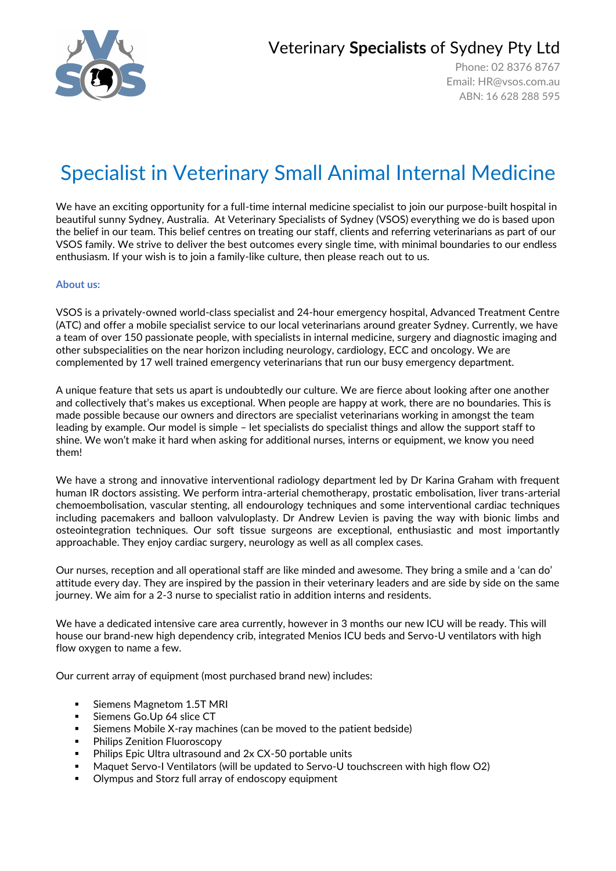

Phone: 02 8376 8767 Email: [HR@vsos.com.au](mailto:HR@vsos.com.au) ABN: 16 628 288 595

# Specialist in Veterinary Small Animal Internal Medicine

We have an exciting opportunity for a full-time internal medicine specialist to join our purpose-built hospital in beautiful sunny Sydney, Australia. At Veterinary Specialists of Sydney (VSOS) everything we do is based upon the belief in our team. This belief centres on treating our staff, clients and referring veterinarians as part of our VSOS family. We strive to deliver the best outcomes every single time, with minimal boundaries to our endless enthusiasm. If your wish is to join a family-like culture, then please reach out to us.

### **About us:**

VSOS is a privately-owned world-class specialist and 24-hour emergency hospital, Advanced Treatment Centre (ATC) and offer a mobile specialist service to our local veterinarians around greater Sydney. Currently, we have a team of over 150 passionate people, with specialists in internal medicine, surgery and diagnostic imaging and other subspecialities on the near horizon including neurology, cardiology, ECC and oncology. We are complemented by 17 well trained emergency veterinarians that run our busy emergency department.

A unique feature that sets us apart is undoubtedly our culture. We are fierce about looking after one another and collectively that's makes us exceptional. When people are happy at work, there are no boundaries. This is made possible because our owners and directors are specialist veterinarians working in amongst the team leading by example. Our model is simple – let specialists do specialist things and allow the support staff to shine. We won't make it hard when asking for additional nurses, interns or equipment, we know you need them!

We have a strong and innovative interventional radiology department led by Dr Karina Graham with frequent human IR doctors assisting. We perform intra-arterial chemotherapy, prostatic embolisation, liver trans-arterial chemoembolisation, vascular stenting, all endourology techniques and some interventional cardiac techniques including pacemakers and balloon valvuloplasty. Dr Andrew Levien is paving the way with bionic limbs and osteointegration techniques. Our soft tissue surgeons are exceptional, enthusiastic and most importantly approachable. They enjoy cardiac surgery, neurology as well as all complex cases.

Our nurses, reception and all operational staff are like minded and awesome. They bring a smile and a 'can do' attitude every day. They are inspired by the passion in their veterinary leaders and are side by side on the same journey. We aim for a 2-3 nurse to specialist ratio in addition interns and residents.

We have a dedicated intensive care area currently, however in 3 months our new ICU will be ready. This will house our brand-new high dependency crib, integrated Menios ICU beds and Servo-U ventilators with high flow oxygen to name a few.

Our current array of equipment (most purchased brand new) includes:

- Siemens Magnetom 1.5T MRI
- Siemens Go.Up 64 slice CT
- Siemens Mobile X-ray machines (can be moved to the patient bedside)
- Philips Zenition Fluoroscopy
- Philips Epic Ultra ultrasound and 2x CX-50 portable units
- Maquet Servo-I Ventilators (will be updated to Servo-U touchscreen with high flow O2)
- Olympus and Storz full array of endoscopy equipment